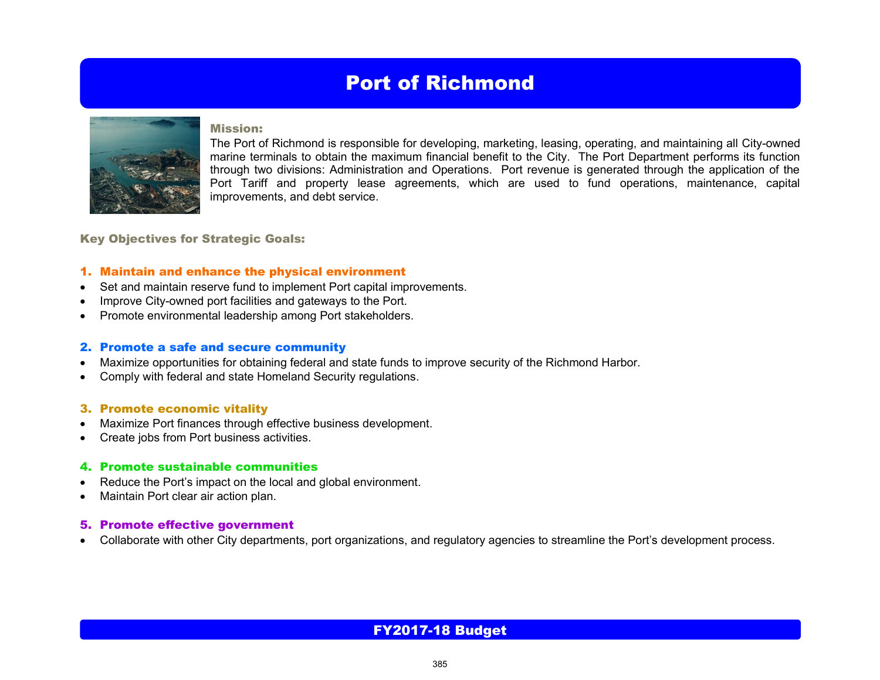# Port of Richmond



#### Mission:

The Port of Richmond is responsible for developing, marketing, leasing, operating, and maintaining all City-owned marine terminals to obtain the maximum financial benefit to the City. The Port Department performs its function through two divisions: Administration and Operations. Port revenue is generated through the application of the Port Tariff and property lease agreements, which are used to fund operations, maintenance, capital improvements, and debt service.

Key Objectives for Strategic Goals:

### 1. Maintain and enhance the physical environment

- Set and maintain reserve fund to implement Port capital improvements.
- Improve City-owned port facilities and gateways to the Port.
- Promote environmental leadership among Port stakeholders.

#### 2. Promote a safe and secure community

- Maximize opportunities for obtaining federal and state funds to improve security of the Richmond Harbor.
- Comply with federal and state Homeland Security regulations.

### 3. Promote economic vitality

- Maximize Port finances through effective business development.
- Create jobs from Port business activities.

#### 4. Promote sustainable communities

- Reduce the Port's impact on the local and global environment.
- Maintain Port clear air action plan.

### 5. Promote effective government

Collaborate with other City departments, port organizations, and regulatory agencies to streamline the Port's development process.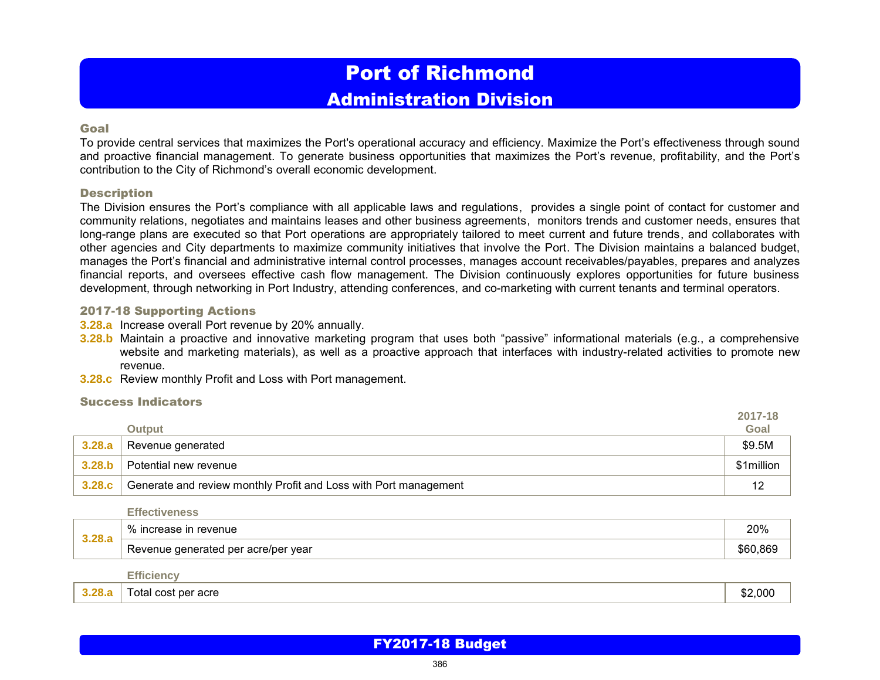# Port of Richmond Administration Division

### Goal

To provide central services that maximizes the Port's operational accuracy and efficiency. Maximize the Port's effectiveness through sound and proactive financial management. To generate business opportunities that maximizes the Port's revenue, profitability, and the Port's contribution to the City of Richmond's overall economic development.

### **Description**

The Division ensures the Port's compliance with all applicable laws and regulations, provides a single point of contact for customer and community relations, negotiates and maintains leases and other business agreements, monitors trends and customer needs, ensures that long-range plans are executed so that Port operations are appropriately tailored to meet current and future trends, and collaborates with other agencies and City departments to maximize community initiatives that involve the Port. The Division maintains a balanced budget, manages the Port's financial and administrative internal control processes, manages account receivables/payables, prepares and analyzes financial reports, and oversees effective cash flow management. The Division continuously explores opportunities for future business development, through networking in Port Industry, attending conferences, and co-marketing with current tenants and terminal operators.

### 2017-18 Supporting Actions

- **3.28.a** Increase overall Port revenue by 20% annually.
- **3.28.b** Maintain a proactive and innovative marketing program that uses both "passive" informational materials (e.g., a comprehensive website and marketing materials), as well as a proactive approach that interfaces with industry-related activities to promote new revenue.
- **3.28.c** Review monthly Profit and Loss with Port management.

### Success Indicators

|        |                                                                  | 2017-18    |
|--------|------------------------------------------------------------------|------------|
|        | <b>Output</b>                                                    | Goal       |
| 3.28.a | Revenue generated                                                | \$9.5M     |
| 3.28.b | Potential new revenue                                            | \$1million |
| 3.28.c | Generate and review monthly Profit and Loss with Port management | 12         |

**Effectiveness**

| 2.22<br>J.LU.Q | $\Omega$<br>evenue <sup>.</sup><br>70.                   | ∍∩0∧<br>20 / |
|----------------|----------------------------------------------------------|--------------|
|                | acre/per year:<br>Rever<br>rated<br>ner<br>aener:<br>nue | .869         |

**Efficiency**

| 0.00 | acre<br>i otal cost per | nnr<br>…<br>.uuu<br>۰DZ |
|------|-------------------------|-------------------------|
|------|-------------------------|-------------------------|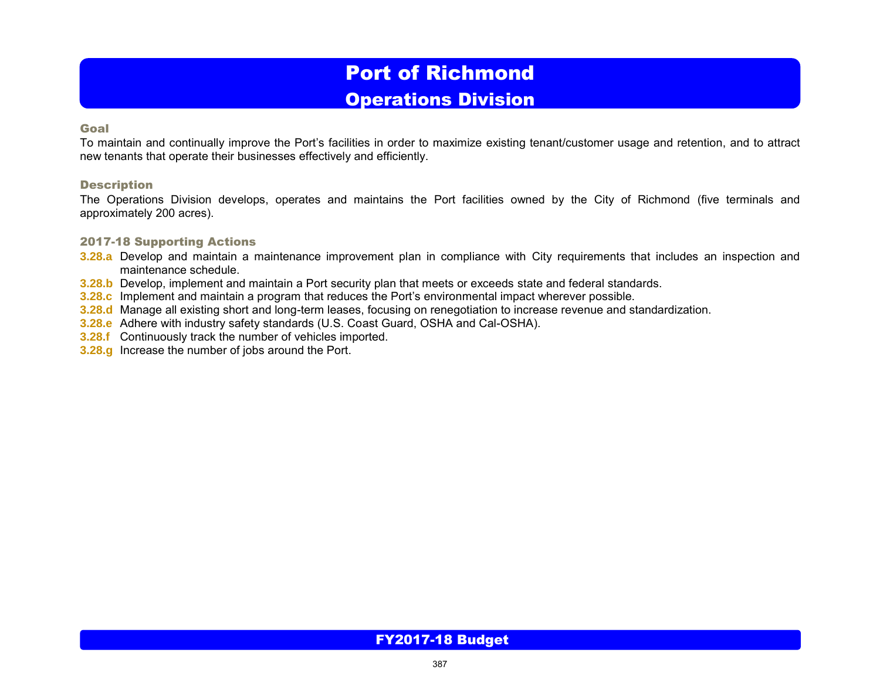# Port of Richmond

# Operations Division

### Goal

To maintain and continually improve the Port's facilities in order to maximize existing tenant/customer usage and retention, and to attract new tenants that operate their businesses effectively and efficiently.

## **Description**

The Operations Division develops, operates and maintains the Port facilities owned by the City of Richmond (five terminals and approximately 200 acres).

## 2017-18 Supporting Actions

- **3.28.a** Develop and maintain a maintenance improvement plan in compliance with City requirements that includes an inspection and maintenance schedule.
- **3.28.b** Develop, implement and maintain a Port security plan that meets or exceeds state and federal standards.
- **3.28.c** Implement and maintain a program that reduces the Port's environmental impact wherever possible.
- **3.28.d** Manage all existing short and long-term leases, focusing on renegotiation to increase revenue and standardization.
- **3.28.e** Adhere with industry safety standards (U.S. Coast Guard, OSHA and Cal-OSHA).
- **3.28.f** Continuously track the number of vehicles imported.
- **3.28.g** Increase the number of jobs around the Port.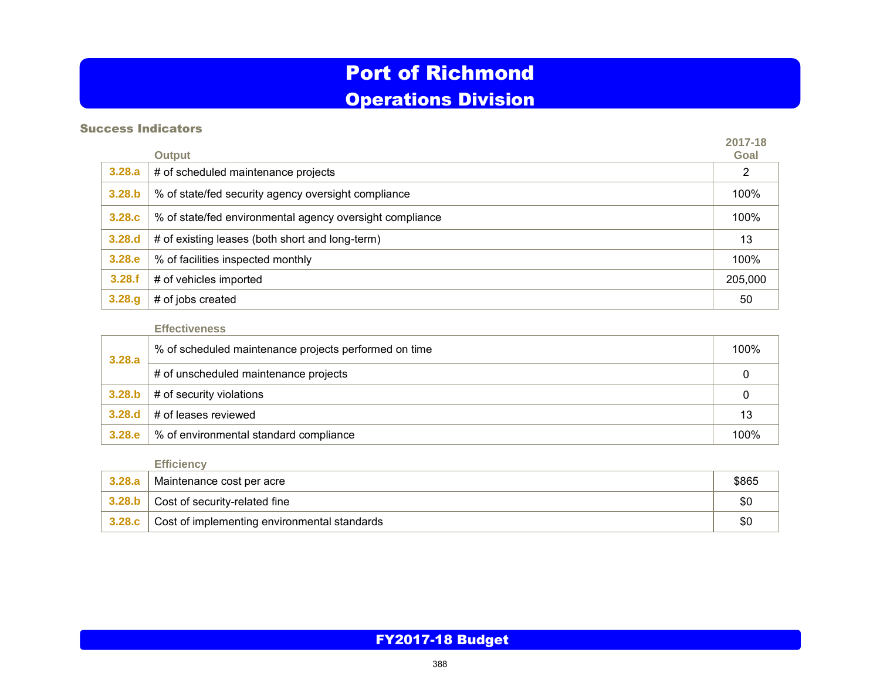# Port of Richmond Operations Division

# Success Indicators

|        | Output                                                   | 2017-18<br>Goal |
|--------|----------------------------------------------------------|-----------------|
| 3.28.a | # of scheduled maintenance projects                      | 2               |
| 3.28.b | % of state/fed security agency oversight compliance      | 100%            |
| 3.28.c | % of state/fed environmental agency oversight compliance | 100%            |
| 3.28.d | # of existing leases (both short and long-term)          | 13              |
| 3.28.e | % of facilities inspected monthly                        | 100%            |
| 3.28.f | # of vehicles imported                                   | 205,000         |
| 3.28.g | # of jobs created                                        | 50              |

### **Effectiveness**

| 3.28.a | % of scheduled maintenance projects performed on time | 100% |
|--------|-------------------------------------------------------|------|
|        | # of unscheduled maintenance projects                 |      |
| 3.28.b | # of security violations                              |      |
| 3.28.d | # of leases reviewed                                  | 13   |
| 3.28.e | % of environmental standard compliance                | 100% |

# **Efficiency**

| 3,28,a | Maintenance cost per acre                              | \$865 |
|--------|--------------------------------------------------------|-------|
|        | $\vert$ 3.28.b $\vert$ Cost of security-related fine   |       |
|        | 3.28. $c$ Cost of implementing environmental standards |       |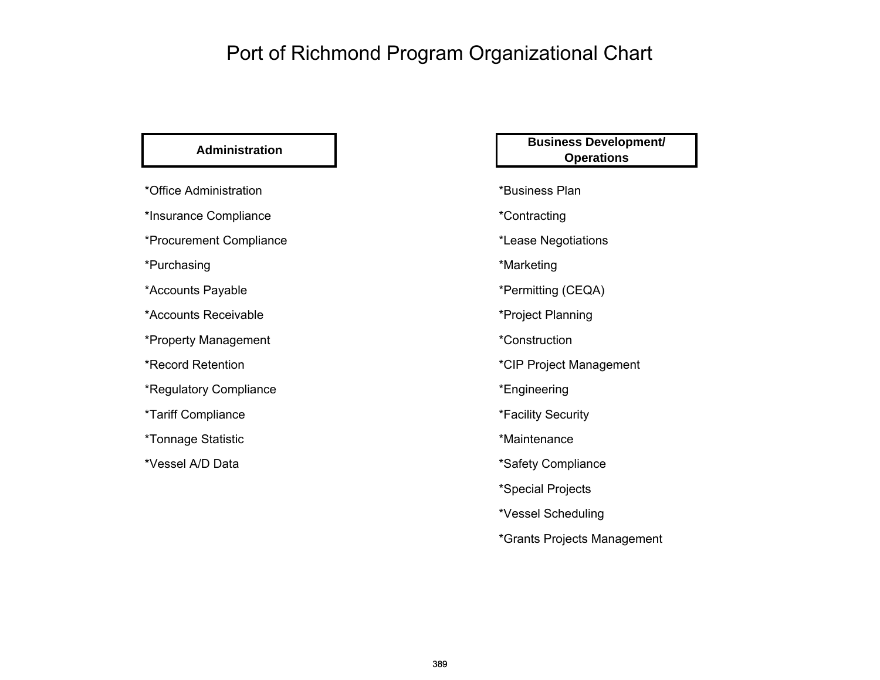# Port of Richmond Program Organizational Chart

| *Office Administration  |
|-------------------------|
| *Insurance Compliance   |
| *Procurement Compliance |
| *Purchasing             |
| *Accounts Payable       |
| *Accounts Receivable    |
| *Property Management    |
| *Record Retention       |
| *Regulatory Compliance  |
| *Tariff Compliance      |
| *Tonnage Statistic      |
| *Vessel A/D Data        |

# **Administration Business Development/ Operations**

# \*Business Plan

\*Contracting

\*Lease Negotiations

\*Marketing

\*Permitting (CEQA)

\*Project Planning

\*Construction

\*CIP Project Management

\*Engineering

\*Facility Security

\*Maintenance

\*Safety Compliance

\*Special Projects

\*Vessel Scheduling

\*Grants Projects Management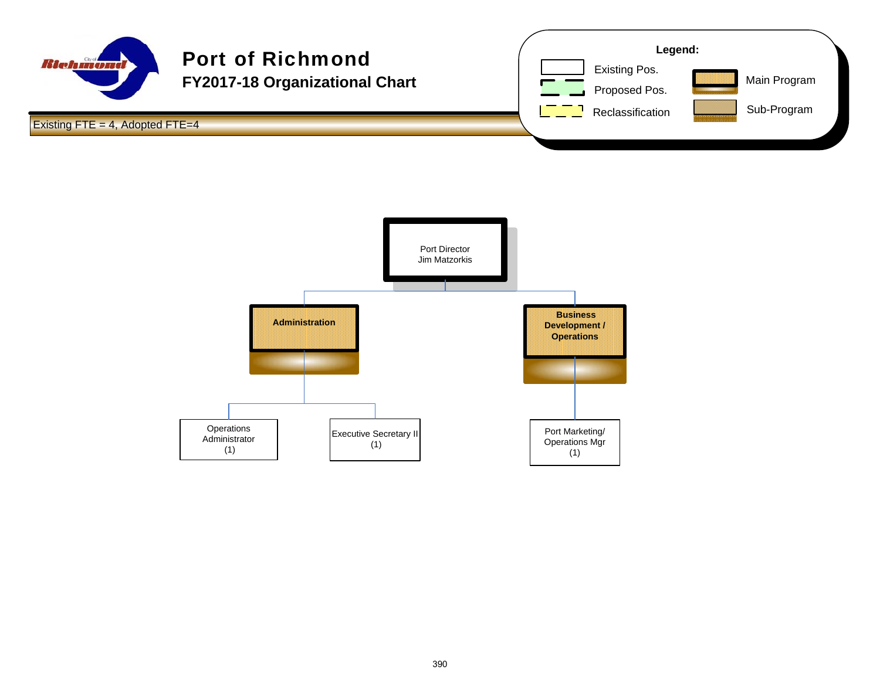

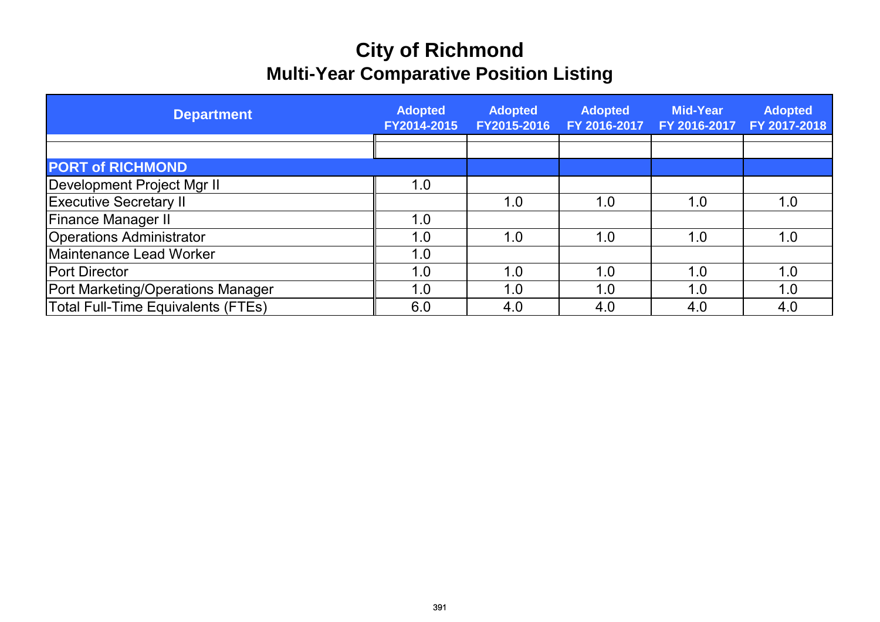# **City of Richmond Multi-Year Comparative Position Listing**

| <b>Department</b>                        | <b>Adopted</b><br>FY2014-2015 | <b>Adopted</b><br>FY2015-2016 | <b>Adopted</b><br>FY 2016-2017 | <b>Mid-Year</b><br>FY 2016-2017 | <b>Adopted</b><br>FY 2017-2018 |
|------------------------------------------|-------------------------------|-------------------------------|--------------------------------|---------------------------------|--------------------------------|
|                                          |                               |                               |                                |                                 |                                |
| <b>PORT of RICHMOND</b>                  |                               |                               |                                |                                 |                                |
| Development Project Mgr II               | 1.0                           |                               |                                |                                 |                                |
| <b>Executive Secretary II</b>            |                               | 1.0                           | 1.0                            | 1.0                             | 1.0                            |
| <b>Finance Manager II</b>                | 1.0                           |                               |                                |                                 |                                |
| <b>Operations Administrator</b>          | 1.0                           | 1.0                           | 1.0                            | 1.0                             | 1.0                            |
| Maintenance Lead Worker                  | 1.0                           |                               |                                |                                 |                                |
| <b>Port Director</b>                     | 1.0                           | 1.0                           | 1.0                            | 1.0                             | 1.0                            |
| <b>Port Marketing/Operations Manager</b> | 1.0                           | 1.0                           | 1.0                            | 1.0                             | 1.0                            |
| Total Full-Time Equivalents (FTEs)       | 6.0                           | 4.0                           | 4.0                            | 4.0                             | 4.0                            |